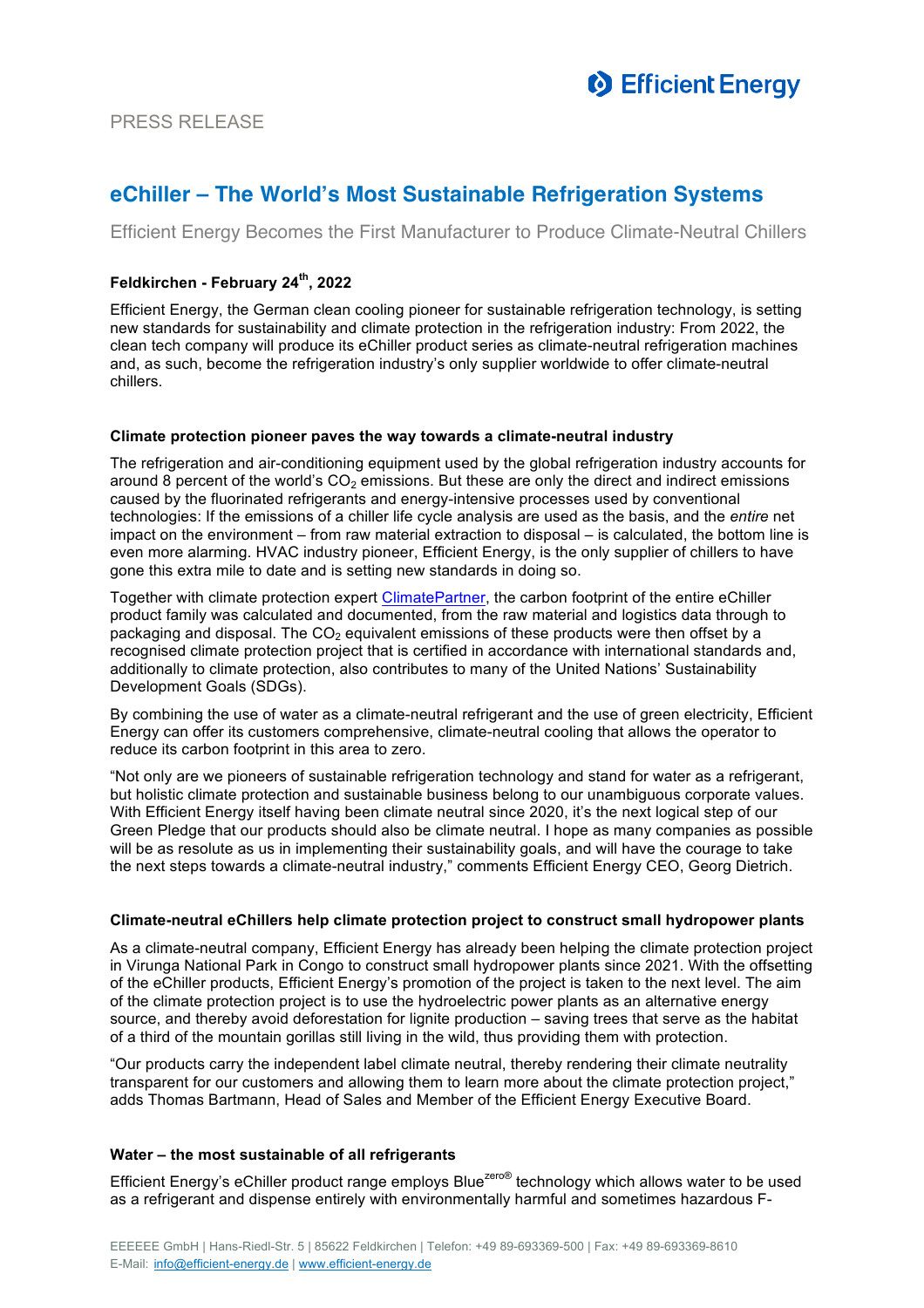

# **eChiller – The World's Most Sustainable Refrigeration Systems**

Efficient Energy Becomes the First Manufacturer to Produce Climate-Neutral Chillers

### **Feldkirchen - February 24th, 2022**

Efficient Energy, the German clean cooling pioneer for sustainable refrigeration technology, is setting new standards for sustainability and climate protection in the refrigeration industry: From 2022, the clean tech company will produce its eChiller product series as climate-neutral refrigeration machines and, as such, become the refrigeration industry's only supplier worldwide to offer climate-neutral chillers.

#### **Climate protection pioneer paves the way towards a climate-neutral industry**

The refrigeration and air-conditioning equipment used by the global refrigeration industry accounts for around 8 percent of the world's  $CO<sub>2</sub>$  emissions. But these are only the direct and indirect emissions caused by the fluorinated refrigerants and energy-intensive processes used by conventional technologies: If the emissions of a chiller life cycle analysis are used as the basis, and the *entire* net impact on the environment – from raw material extraction to disposal – is calculated, the bottom line is even more alarming. HVAC industry pioneer, Efficient Energy, is the only supplier of chillers to have gone this extra mile to date and is setting new standards in doing so.

Together with climate protection expert ClimatePartner, the carbon footprint of the entire eChiller product family was calculated and documented, from the raw material and logistics data through to packaging and disposal. The  $CO<sub>2</sub>$  equivalent emissions of these products were then offset by a recognised climate protection project that is certified in accordance with international standards and, additionally to climate protection, also contributes to many of the United Nations' Sustainability Development Goals (SDGs).

By combining the use of water as a climate-neutral refrigerant and the use of green electricity, Efficient Energy can offer its customers comprehensive, climate-neutral cooling that allows the operator to reduce its carbon footprint in this area to zero.

"Not only are we pioneers of sustainable refrigeration technology and stand for water as a refrigerant, but holistic climate protection and sustainable business belong to our unambiguous corporate values. With Efficient Energy itself having been climate neutral since 2020, it's the next logical step of our Green Pledge that our products should also be climate neutral. I hope as many companies as possible will be as resolute as us in implementing their sustainability goals, and will have the courage to take the next steps towards a climate-neutral industry," comments Efficient Energy CEO, Georg Dietrich.

#### **Climate-neutral eChillers help climate protection project to construct small hydropower plants**

As a climate-neutral company, Efficient Energy has already been helping the climate protection project in Virunga National Park in Congo to construct small hydropower plants since 2021. With the offsetting of the eChiller products, Efficient Energy's promotion of the project is taken to the next level. The aim of the climate protection project is to use the hydroelectric power plants as an alternative energy source, and thereby avoid deforestation for lignite production – saving trees that serve as the habitat of a third of the mountain gorillas still living in the wild, thus providing them with protection.

"Our products carry the independent label climate neutral, thereby rendering their climate neutrality transparent for our customers and allowing them to learn more about the climate protection project," adds Thomas Bartmann, Head of Sales and Member of the Efficient Energy Executive Board.

#### **Water – the most sustainable of all refrigerants**

Efficient Energy's eChiller product range employs Blue<sup>zero®</sup> technology which allows water to be used as a refrigerant and dispense entirely with environmentally harmful and sometimes hazardous F-